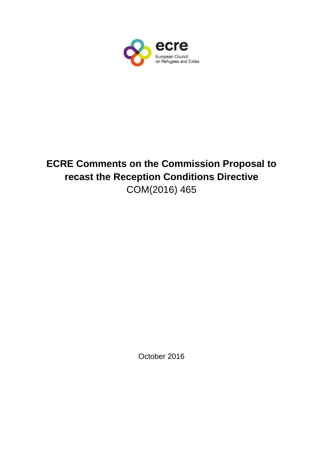

# **ECRE Comments on the Commission Proposal to recast the Reception Conditions Directive** COM(2016) 465

October 2016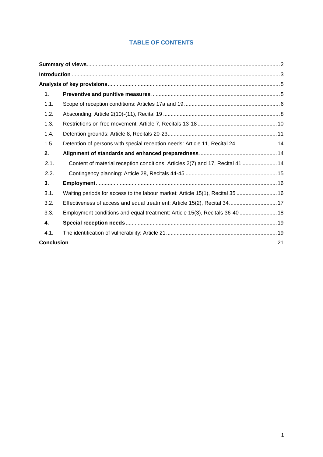# **TABLE OF CONTENTS**

| 1.   |                                                                                |  |
|------|--------------------------------------------------------------------------------|--|
| 1.1. |                                                                                |  |
| 1.2. |                                                                                |  |
| 1.3. |                                                                                |  |
| 1.4. |                                                                                |  |
| 1.5. | Detention of persons with special reception needs: Article 11, Recital 24  14  |  |
| 2.   |                                                                                |  |
| 2.1. | Content of material reception conditions: Articles 2(7) and 17, Recital 41  14 |  |
| 2.2. |                                                                                |  |
| 3.   |                                                                                |  |
| 3.1. | Waiting periods for access to the labour market: Article 15(1), Recital 35  16 |  |
| 3.2. | Effectiveness of access and equal treatment: Article 15(2), Recital 34 17      |  |
| 3.3. | Employment conditions and equal treatment: Article 15(3), Recitals 36-40  18   |  |
| 4.   |                                                                                |  |
| 4.1. |                                                                                |  |
|      |                                                                                |  |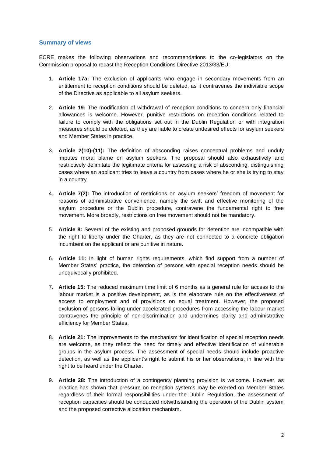#### <span id="page-2-0"></span>**Summary of views**

ECRE makes the following observations and recommendations to the co-legislators on the Commission proposal to recast the Reception Conditions Directive 2013/33/EU:

- 1. **Article 17a:** The exclusion of applicants who engage in secondary movements from an entitlement to reception conditions should be deleted, as it contravenes the indivisible scope of the Directive as applicable to all asylum seekers.
- 2. **Article 19:** The modification of withdrawal of reception conditions to concern only financial allowances is welcome. However, punitive restrictions on reception conditions related to failure to comply with the obligations set out in the Dublin Regulation or with integration measures should be deleted, as they are liable to create undesired effects for asylum seekers and Member States in practice.
- 3. **Article 2(10)-(11):** The definition of absconding raises conceptual problems and unduly imputes moral blame on asylum seekers. The proposal should also exhaustively and restrictively delimitate the legitimate criteria for assessing a risk of absconding, distinguishing cases where an applicant tries to leave a country from cases where he or she is trying to stay in a country.
- 4. **Article 7(2):** The introduction of restrictions on asylum seekers' freedom of movement for reasons of administrative convenience, namely the swift and effective monitoring of the asylum procedure or the Dublin procedure, contravene the fundamental right to free movement. More broadly, restrictions on free movement should not be mandatory.
- 5. **Article 8:** Several of the existing and proposed grounds for detention are incompatible with the right to liberty under the Charter, as they are not connected to a concrete obligation incumbent on the applicant or are punitive in nature.
- 6. **Article 11:** In light of human rights requirements, which find support from a number of Member States' practice, the detention of persons with special reception needs should be unequivocally prohibited.
- 7. **Article 15:** The reduced maximum time limit of 6 months as a general rule for access to the labour market is a positive development, as is the elaborate rule on the effectiveness of access to employment and of provisions on equal treatment. However, the proposed exclusion of persons falling under accelerated procedures from accessing the labour market contravenes the principle of non-discrimination and undermines clarity and administrative efficiency for Member States.
- 8. **Article 21:** The improvements to the mechanism for identification of special reception needs are welcome, as they reflect the need for timely and effective identification of vulnerable groups in the asylum process. The assessment of special needs should include proactive detection, as well as the applicant's right to submit his or her observations, in line with the right to be heard under the Charter.
- 9. **Article 28:** The introduction of a contingency planning provision is welcome. However, as practice has shown that pressure on reception systems may be exerted on Member States regardless of their formal responsibilities under the Dublin Regulation, the assessment of reception capacities should be conducted notwithstanding the operation of the Dublin system and the proposed corrective allocation mechanism.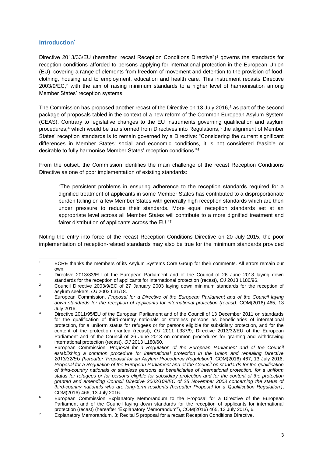#### <span id="page-3-0"></span>**Introduction\***

Directive 2013/33/EU (hereafter "recast Reception Conditions Directive")<sup>1</sup> governs the standards for reception conditions afforded to persons applying for international protection in the European Union (EU), covering a range of elements from freedom of movement and detention to the provision of food, clothing, housing and to employment, education and health care. This instrument recasts Directive 2003/9/EC, <sup>2</sup> with the aim of raising minimum standards to a higher level of harmonisation among Member States' reception systems.

The Commission has proposed another recast of the Directive on 13 July 2016,<sup>3</sup> as part of the second package of proposals tabled in the context of a new reform of the Common European Asylum System (CEAS). Contrary to legislative changes to the EU instruments governing qualification and asylum procedures,<sup>4</sup> which would be transformed from Directives into Regulations,<sup>5</sup> the alignment of Member States' reception standards is to remain governed by a Directive: "Considering the current significant differences in Member States' social and economic conditions, it is not considered feasible or desirable to fully harmonise Member States' reception conditions."<sup>6</sup>

From the outset, the Commission identifies the main challenge of the recast Reception Conditions Directive as one of poor implementation of existing standards:

"The persistent problems in ensuring adherence to the reception standards required for a dignified treatment of applicants in some Member States has contributed to a disproportionate burden falling on a few Member States with generally high reception standards which are then under pressure to reduce their standards. More equal reception standards set at an appropriate level across all Member States will contribute to a more dignified treatment and fairer distribution of applicants across the EU."<sup>7</sup>

Noting the entry into force of the recast Reception Conditions Directive on 20 July 2015, the poor implementation of reception-related standards may also be true for the minimum standards provided

 $^\star$ ECRE thanks the members of its Asylum Systems Core Group for their comments. All errors remain our own.

<sup>1</sup> Directive 2013/33/EU of the European Parliament and of the Council of 26 June 2013 laying down standards for the reception of applicants for international protection (recast), *OJ* 2013 L180/96.

<sup>&</sup>lt;sup>2</sup> Council Directive 2003/9/EC of 27 January 2003 laying down minimum standards for the reception of asylum seekers, *OJ* 2003 L31/18.

<sup>3</sup> European Commission, *Proposal for a Directive of the European Parliament and of the Council laying down standards for the reception of applicants for international protection (recast)*, COM(2016) 465, 13 July 2016.

<sup>4</sup> Directive 2011/95/EU of the European Parliament and of the Council of 13 December 2011 on standards for the qualification of third-country nationals or stateless persons as beneficiaries of international protection, for a uniform status for refugees or for persons eligible for subsidiary protection, and for the content of the protection granted (recast), *OJ* 2011 L337/9; Directive 2013/32/EU of the European Parliament and of the Council of 26 June 2013 on common procedures for granting and withdrawing international protection (recast), *OJ* 2013 L180/60.

<sup>5</sup> European Commission, *Proposal for a Regulation of the European Parliament and of the Council*  establishing a common procedure for international protection in the Union and repealing Directive *2013/32/EU (hereafter 'Proposal for an Asylum Procedures Regulation')*, COM(2016) 467, 13 July 2016; *Proposal for a Regulation of the European Parliament and of the Council on standards for the qualification of third-country nationals or stateless persons as beneficiaries of international protection, for a uniform status for refugees or for persons eligible for subsidiary protection and for the content of the protection granted and amending Council Directive 2003/109/EC of 25 November 2003 concerning the status of third-country nationals who are long-term residents (hereafter Proposal for a Qualification Regulation')*, COM(2016) 466, 13 July 2016.

<sup>6</sup> European Commission Explanatory Memorandum to the Proposal for a Directive of the European Parliament and of the Council laying down standards for the reception of applicants for international protection (recast) (hereafter "Explanatory Memorandum"), COM(2016) 465, 13 July 2016, 6.

<sup>&</sup>lt;sup>7</sup> Explanatory Memorandum, 3; Recital 5 proposal for a recast Reception Conditions Directive.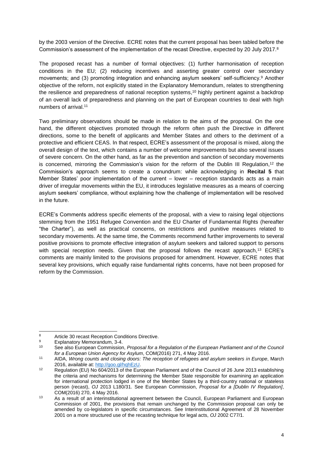by the 2003 version of the Directive. ECRE notes that the current proposal has been tabled before the Commission's assessment of the implementation of the recast Directive, expected by 20 July 2017. 8

The proposed recast has a number of formal objectives: (1) further harmonisation of reception conditions in the EU; (2) reducing incentives and asserting greater control over secondary movements; and (3) promoting integration and enhancing asylum seekers' self-sufficiency.<sup>9</sup> Another objective of the reform, not explicitly stated in the Explanatory Memorandum, relates to strengthening the resilience and preparedness of national reception systems, <sup>10</sup> highly pertinent against a backdrop of an overall lack of preparedness and planning on the part of European countries to deal with high numbers of arrival.<sup>11</sup>

Two preliminary observations should be made in relation to the aims of the proposal. On the one hand, the different objectives promoted through the reform often push the Directive in different directions, some to the benefit of applicants and Member States and others to the detriment of a protective and efficient CEAS. In that respect, ECRE's assessment of the proposal is mixed, along the overall design of the text, which contains a number of welcome improvements but also several issues of severe concern. On the other hand, as far as the prevention and sanction of secondary movements is concerned, mirroring the Commission's vision for the reform of the Dublin III Regulation,<sup>12</sup> the Commission's approach seems to create a conundrum: while acknowledging in **Recital 5** that Member States' poor implementation of the current – lower – reception standards acts as a main driver of irregular movements within the EU, it introduces legislative measures as a means of coercing asylum seekers' compliance, without explaining how the challenge of implementation will be resolved in the future.

ECRE's Comments address specific elements of the proposal, with a view to raising legal objections stemming from the 1951 Refugee Convention and the EU Charter of Fundamental Rights (hereafter "the Charter"), as well as practical concerns, on restrictions and punitive measures related to secondary movements. At the same time, the Comments recommend further improvements to several positive provisions to promote effective integration of asylum seekers and tailored support to persons with special reception needs. Given that the proposal follows the recast approach,<sup>13</sup> ECRE's comments are mainly limited to the provisions proposed for amendment. However, ECRE notes that several key provisions, which equally raise fundamental rights concerns, have not been proposed for reform by the Commission.

 $\overline{8}$ <sup>8</sup> Article 30 recast Reception Conditions Directive.<br> $\frac{9}{2}$  Exploration: Momerandum 2.4.

 $9$  Explanatory Memorandum, 3-4.

See also European Commission, *Proposal for a Regulation of the European Parliament and of the Council for a European Union Agency for Asylum*, COM(2016) 271, 4 May 2016.

<sup>11</sup> AIDA, *Wrong counts and closing doors: The reception of refugees and asylum seekers in Europe*, March 2016, available at: [http://goo.gl/hqhEzU.](http://goo.gl/hqhEzU)

<sup>12</sup> Regulation (EU) No 604/2013 of the European Parliament and of the Council of 26 June 2013 establishing the criteria and mechanisms for determining the Member State responsible for examining an application for international protection lodged in one of the Member States by a third-country national or stateless person (recast), *OJ* 2013 L180/31. See European Commission, *Proposal for a [Dublin IV Regulation]*, COM(2016) 270, 4 May 2016.

<sup>13</sup> As a result of an interinstitutional agreement between the Council, European Parliament and European Commission of 2001, the provisions that remain unchanged by the Commission proposal can only be amended by co-legislators in specific circumstances. See Interinstitutional Agreement of 28 November 2001 on a more structured use of the recasting technique for legal acts, *OJ* 2002 C77/1.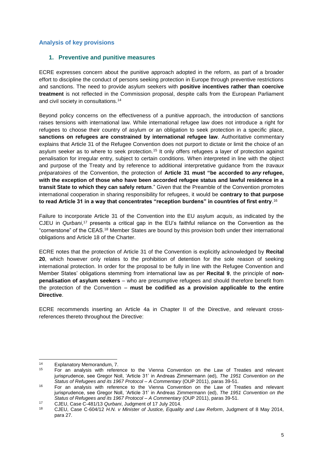#### <span id="page-5-0"></span>**Analysis of key provisions**

#### <span id="page-5-1"></span>**1. Preventive and punitive measures**

ECRE expresses concern about the punitive approach adopted in the reform, as part of a broader effort to discipline the conduct of persons seeking protection in Europe through preventive restrictions and sanctions. The need to provide asylum seekers with **positive incentives rather than coercive treatment** is not reflected in the Commission proposal, despite calls from the European Parliament and civil society in consultations.<sup>14</sup>

Beyond policy concerns on the effectiveness of a punitive approach, the introduction of sanctions raises tensions with international law. While international refugee law does not introduce a right for refugees to choose their country of asylum or an obligation to seek protection in a specific place, **sanctions on refugees are constrained by international refugee law**. Authoritative commentary explains that Article 31 of the Refugee Convention does not purport to dictate or limit the choice of an asylum seeker as to where to seek protection.<sup>15</sup> It only offers refugees a layer of protection against penalisation for irregular entry, subject to certain conditions. When interpreted in line with the object and purpose of the Treaty and by reference to additional interpretative guidance from the *travaux préparatoires* of the Convention, the protection of **Article 31 must "be accorded to** *any* **refugee, with the exception of those who have been accorded refugee status and lawful residence in a transit State to which they can safely return**." Given that the Preamble of the Convention promotes international cooperation in sharing responsibility for refugees, it would be **contrary to that purpose to read Article 31 in a way that concentrates "reception burdens" in countries of first entry**. 16

Failure to incorporate Article 31 of the Convention into the EU asylum *acquis*, as indicated by the CJEU in *Qurbani*, <sup>17</sup> presents a critical gap in the EU's faithful reliance on the Convention as the "cornerstone" of the CEAS.<sup>18</sup> Member States are bound by this provision both under their international obligations and Article 18 of the Charter.

ECRE notes that the protection of Article 31 of the Convention is explicitly acknowledged by **Recital 20**, which however only relates to the prohibition of detention for the sole reason of seeking international protection. In order for the proposal to be fully in line with the Refugee Convention and Member States' obligations stemming from international law as per **Recital 9**, the principle of **nonpenalisation of asylum seekers** – who are presumptive refugees and should therefore benefit from the protection of the Convention – **must be codified as a provision applicable to the entire Directive**.

ECRE recommends inserting an Article 4a in Chapter II of the Directive, and relevant crossreferences thereto throughout the Directive:

<sup>1</sup> <sup>14</sup> Explanatory Memorandum, 7.<br><sup>15</sup> Eor. an. apolygie, with refere

<sup>15</sup> For an analysis with reference to the Vienna Convention on the Law of Treaties and relevant jurisprudence, see Gregor Noll, 'Article 31' in Andreas Zimmermann (ed), *The 1951 Convention on the Status of Refugees and its 1967 Protocol – A Commentary* (OUP 2011), paras 39-51.

<sup>&</sup>lt;sup>16</sup> For an analysis with reference to the Vienna Convention on the Law of Treaties and relevant jurisprudence, see Gregor Noll, 'Article 31' in Andreas Zimmermann (ed), *The 1951 Convention on the Status of Refugees and its 1967 Protocol – A Commentary* (OUP 2011), paras 39-51.

<sup>17</sup> CJEU, Case C-481/13 *Qurbani*, Judgment of 17 July 2014.

<sup>18</sup> CJEU, Case C-604/12 *H.N. v Minister of Justice, Equality and Law Reform*, Judgment of 8 May 2014, para 27.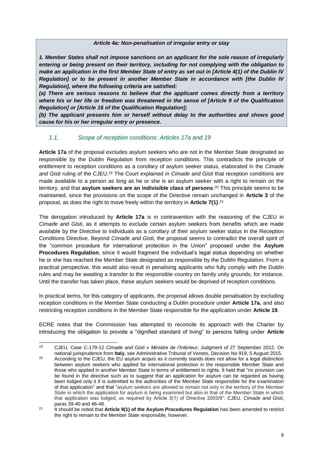#### *Article 4a: Non-penalisation of irregular entry or stay*

*1. Member States shall not impose sanctions on an applicant for the sole reason of irregularly entering or being present on their territory, including for not complying with the obligation to make an application in the first Member State of entry as set out in [Article 4(1) of the Dublin IV Regulation] or to be present in another Member State in accordance with [the Dublin IV Regulation], where the following criteria are satisfied:*

*(a) There are serious reasons to believe that the applicant comes directly from a territory where his or her life or freedom was threatened in the sense of [Article 9 of the Qualification Regulation] or [Article 16 of the Qualification Regulation];* 

*(b) The applicant presents him or herself without delay to the authorities and shows good cause for his or her irregular entry or presence.*

#### <span id="page-6-0"></span>*1.1. Scope of reception conditions: Articles 17a and 19*

**Article 17a** of the proposal excludes asylum seekers who are not in the Member State designated as responsible by the Dublin Regulation from reception conditions. This contradicts the principle of entitlement to reception conditions as a corollary of asylum seeker status, elaborated in the *Cimade and Gisti* ruling of the CJEU.<sup>19</sup> The Court explained in *Cimade and Gisti* that reception conditions are made available to a person as long as he or she is an asylum seeker with a right to remain on the territory, and that **asylum seekers are an indivisible class of persons**. <sup>20</sup> This principle seems to be maintained, since the provisions on the scope of the Directive remain unchanged in **Article 3** of the proposal, as does the right to move freely within the territory in **Article 7(1)**. 21

The derogation introduced by **Article 17a** is in contravention with the reasoning of the CJEU in *Cimade and Gisti*, as it attempts to exclude certain asylum seekers from benefits which are made available by the Directive to individuals as a corollary of their asylum seeker status in the Reception Conditions Directive. Beyond *Cimade and Gisti*, the proposal seems to contradict the overall spirit of the "common procedure for international protection in the Union" proposed under the **Asylum Procedures Regulation**, since it would fragment the individual's legal status depending on whether he or she has reached the Member State designated as responsible by the Dublin Regulation. From a practical perspective, this would also result in penalising applicants who fully comply with the Dublin rules and may be awaiting a transfer to the responsible country on family unity grounds, for instance. Until the transfer has taken place, these asylum seekers would be deprived of reception conditions.

In practical terms, for this category of applicants, the proposal allows double penalisation by excluding reception conditions in the Member State conducting a Dublin procedure under **Article 17a**, and also restricting reception conditions in the Member State responsible for the application under **Article 19**.

ECRE notes that the Commission has attempted to reconcile its approach with the Charter by introducing the obligation to provide a "dignified standard of living" to persons falling under **Article** 

<sup>19</sup> <sup>19</sup> CJEU, Case C-179-12 *Cimade and Gisti v Ministre de l'Intérieur*, Judgment of 27 September 2012. On national jurisprudence from **Italy**, see Administrative Tribunal of Veneto, Decision No 919, 5 August 2015.

<sup>20</sup> According to the CJEU, the EU asylum *acquis* as it currently stands does not allow for a legal distinction between asylum seekers who applied for international protection in the responsible Member State and those who applied in another Member State in terms of entitlement to rights. It held that "no provision can be found in the directive such as to suggest that an application for asylum can be regarded as having been lodged only it if is submitted to the authorities of the Member State responsible for the examination of that application" and that "asylum seekers are allowed to remain not only in the territory of the Member State in which the application for asylum is being examined but also in that of the Member State in which that application was lodged, as required by Article 3(1) of Directive 2003/9": CJEU, *Cimade and Gisti*, paras 39-40 and 46-48.

<sup>21</sup> It should be noted that **Article 9(1) of the Asylum Procedures Regulation** has been amended to restrict the right to remain to the Member State responsible, however.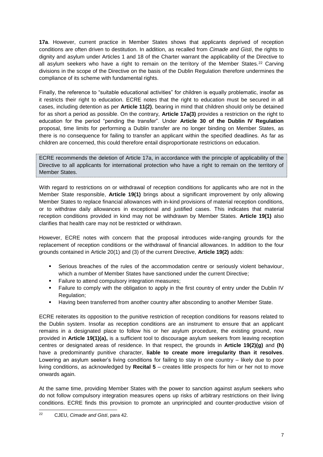**17a**. However, current practice in Member States shows that applicants deprived of reception conditions are often driven to destitution. In addition, as recalled from *Cimade and Gisti*, the rights to dignity and asylum under Articles 1 and 18 of the Charter warrant the applicability of the Directive to all asylum seekers who have a right to remain on the territory of the Member States.<sup>22</sup> Carving divisions in the scope of the Directive on the basis of the Dublin Regulation therefore undermines the compliance of its scheme with fundamental rights.

Finally, the reference to "suitable educational activities" for children is equally problematic, insofar as it restricts their right to education. ECRE notes that the right to education must be secured in all cases, including detention as per **Article 11(2)**, bearing in mind that children should only be detained for as short a period as possible. On the contrary, **Article 17a(3)** provides a restriction on the right to education for the period "pending the transfer". Under **Article 30 of the Dublin IV Regulation** proposal, time limits for performing a Dublin transfer are no longer binding on Member States, as there is no consequence for failing to transfer an applicant within the specified deadlines. As far as children are concerned, this could therefore entail disproportionate restrictions on education.

ECRE recommends the deletion of Article 17a, in accordance with the principle of applicability of the Directive to all applicants for international protection who have a right to remain on the territory of Member States.

With regard to restrictions on or withdrawal of reception conditions for applicants who are not in the Member State responsible, **Article 19(1)** brings about a significant improvement by only allowing Member States to replace financial allowances with in-kind provisions of material reception conditions, or to withdraw daily allowances in exceptional and justified cases. This indicates that material reception conditions provided in kind may not be withdrawn by Member States. **Article 19(1)** also clarifies that health care may not be restricted or withdrawn.

However, ECRE notes with concern that the proposal introduces wide-ranging grounds for the replacement of reception conditions or the withdrawal of financial allowances. In addition to the four grounds contained in Article 20(1) and (3) of the current Directive, **Article 19(2)** adds:

- Serious breaches of the rules of the accommodation centre or seriously violent behaviour, which a number of Member States have sanctioned under the current Directive;
- Failure to attend compulsory integration measures;
- Failure to comply with the obligation to apply in the first country of entry under the Dublin IV Regulation;
- Having been transferred from another country after absconding to another Member State.

ECRE reiterates its opposition to the punitive restriction of reception conditions for reasons related to the Dublin system. Insofar as reception conditions are an instrument to ensure that an applicant remains in a designated place to follow his or her asylum procedure, the existing ground, now provided in **Article 19(1)(a),** is a sufficient tool to discourage asylum seekers from leaving reception centres or designated areas of residence. In that respect, the grounds in **Article 19(2)(g)** and **(h)** have a predominantly punitive character, **liable to create more irregularity than it resolves**. Lowering an asylum seeker's living conditions for failing to stay in one country – likely due to poor living conditions, as acknowledged by **Recital 5** – creates little prospects for him or her not to move onwards again.

At the same time, providing Member States with the power to sanction against asylum seekers who do not follow compulsory integration measures opens up risks of arbitrary restrictions on their living conditions. ECRE finds this provision to promote an unprincipled and counter-productive vision of

 $\overline{22}$ <sup>22</sup> CJEU, *Cimade and Gisti*, para 42.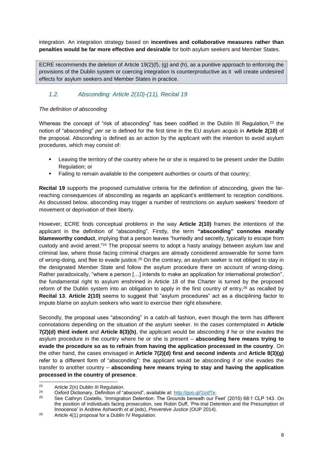integration. An integration strategy based on **incentives and collaborative measures rather than penalties would be far more effective and desirable** for both asylum seekers and Member States.

ECRE recommends the deletion of Article 19(2)(f), (g) and (h), as a punitive approach to enforcing the provisions of the Dublin system or coercing integration is counterproductive as it will create undesired effects for asylum seekers and Member States in practice.

## <span id="page-8-0"></span>*1.2. Absconding: Article 2(10)-(11), Recital 19*

#### *The definition of absconding*

Whereas the concept of "risk of absconding" has been codified in the Dublin III Regulation,<sup>23</sup> the notion of "absconding" *per se* is defined for the first time in the EU asylum *acquis* in **Article 2(10)** of the proposal. Absconding is defined as an action by the applicant with the intention to avoid asylum procedures, which may consist of:

- **EXECT** Leaving the territory of the country where he or she is required to be present under the Dublin Regulation; or
- Failing to remain available to the competent authorities or courts of that country;

**Recital 19** supports the proposed cumulative criteria for the definition of absconding, given the farreaching consequences of absconding as regards an applicant's entitlement to reception conditions. As discussed below, absconding may trigger a number of restrictions on asylum seekers' freedom of movement or deprivation of their liberty.

However, ECRE finds conceptual problems in the way **Article 2(10)** frames the intentions of the applicant in the definition of "absconding". Firstly, the term **"absconding" connotes morally blameworthy conduct**, implying that a person leaves "hurriedly and secretly, typically to escape from custody and avoid arrest."<sup>24</sup> The proposal seems to adopt a hasty analogy between asylum law and criminal law, where those facing criminal charges are already considered answerable for some form of wrong-doing, and flee to evade justice.<sup>25</sup> On the contrary, an asylum seeker is not obliged to stay in the designated Member State and follow the asylum procedure there on account of wrong-doing. Rather paradoxically, "where a person […] intends to make an application for international protection", the fundamental right to asylum enshrined in Article 18 of the Charter is turned by the proposed reform of the Dublin system into an obligation to apply in the first country of entry,<sup>26</sup> as recalled by **Recital 13**. **Article 2(10)** seems to suggest that "asylum procedures" act as a disciplining factor to impute blame on asylum seekers who want to exercise their right elsewhere.

Secondly, the proposal uses "absconding" in a catch-all fashion, even though the term has different connotations depending on the situation of the asylum seeker. In the cases contemplated in **Article 7(2)(d) third indent** and **Article 8(3)(b)**, the applicant would be absconding if he or she evades the asylum procedure in the country where he or she is present – **absconding here means trying to evade the procedure so as to refrain from having the application processed in the country**. On the other hand, the cases envisaged in **Article 7(2)(d) first and second indents** and **Article 8(3)(g)** refer to a different form of "absconding": the applicant would be absconding if or she evades the transfer to another country – **absconding here means trying to stay and having the application processed in the country of presence**.

 $2<sup>2</sup>$ <sup>23</sup> Article 2(n) Dublin III Regulation.<br><sup>24</sup> Outerd Distingent, Definition of "

<sup>24</sup> Oxford Dictionary, Definition of "abscond", available at:  $\frac{http://goo.gl/1izdTe}{25}$ 

<sup>25</sup> See Cathryn Costello, 'Immigration Detention: The Grounds beneath our Feet' (2015) 68:1 CLP 143. On the position of individuals facing prosecution, see Robin Duff, 'Pre-trial Detention and the Presumption of Innocence' in Andrew Ashworth *et al* (eds), *Preventive Justice* (OUP 2014).

 $26$  Article 4(1) proposal for a Dublin IV Regulation.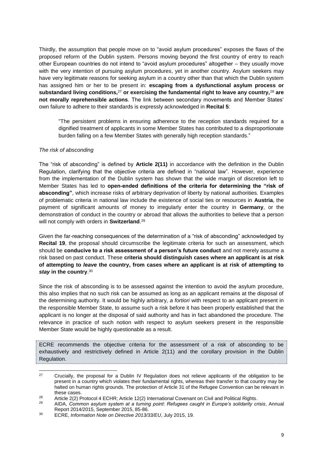Thirdly, the assumption that people move on to "avoid asylum procedures" exposes the flaws of the proposed reform of the Dublin system. Persons moving beyond the first country of entry to reach other European countries do not intend to "avoid asylum procedures" altogether – they usually move with the very intention of pursuing asylum procedures, yet in another country. Asylum seekers may have very legitimate reasons for seeking asylum in a country other than that which the Dublin system has assigned him or her to be present in: **escaping from a dysfunctional asylum process or substandard living conditions,**<sup>27</sup> **or exercising the fundamental right to leave any country,**<sup>28</sup> **are not morally reprehensible actions**. The link between secondary movements and Member States' own failure to adhere to their standards is expressly acknowledged in **Recital 5**:

"The persistent problems in ensuring adherence to the reception standards required for a dignified treatment of applicants in some Member States has contributed to a disproportionate burden falling on a few Member States with generally high reception standards."

#### *The risk of absconding*

The "risk of absconding" is defined by **Article 2(11)** in accordance with the definition in the Dublin Regulation, clarifying that the objective criteria are defined in "national law". However, experience from the implementation of the Dublin system has shown that the wide margin of discretion left to Member States has led to **open-ended definitions of the criteria for determining the "risk of absconding"**, which increase risks of arbitrary deprivation of liberty by national authorities. Examples of problematic criteria in national law include the existence of social ties or resources in **Austria**, the payment of significant amounts of money to irregularly enter the country in **Germany**, or the demonstration of conduct in the country or abroad that allows the authorities to believe that a person will not comply with orders in **Switzerland**. 29

Given the far-reaching consequences of the determination of a "risk of absconding" acknowledged by **Recital 19**, the proposal should circumscribe the legitimate criteria for such an assessment, which should be **conducive to a risk assessment of a person's future conduct** and not merely assume a risk based on past conduct. These **criteria should distinguish cases where an applicant is at risk of attempting to** *leave* **the country, from cases where an applicant is at risk of attempting to**  *stay* **in the country**. 30

Since the risk of absconding is to be assessed against the intention to avoid the asylum procedure, this also implies that no such risk can be assumed as long as an applicant remains at the disposal of the determining authority. It would be highly arbitrary, *a fortiori* with respect to an applicant present in the responsible Member State, to assume such a risk before it has been properly established that the applicant is no longer at the disposal of said authority and has in fact abandoned the procedure. The relevance in practice of such notion with respect to asylum seekers present in the responsible Member State would be highly questionable as a result.

ECRE recommends the objective criteria for the assessment of a risk of absconding to be exhaustively and restrictively defined in Article 2(11) and the corollary provision in the Dublin Regulation.

 $27$ <sup>27</sup> Crucially, the proposal for a Dublin IV Regulation does not relieve applicants of the obligation to be present in a country which violates their fundamental rights, whereas their transfer to that country may be halted on human rights grounds. The protection of Article 31 of the Refugee Convention can be relevant in these cases.

<sup>&</sup>lt;sup>28</sup> Article 2(2) Protocol 4 ECHR; Article 12(2) International Covenant on Civil and Political Rights.

<sup>29</sup> AIDA, *Common asylum system at a turning point: Refugees caught in Europe's solidarity crisis*, Annual Report 2014/2015, September 2015, 85-86.

<sup>30</sup> ECRE, *Information Note on Directive 2013/33/EU*, July 2015, 19.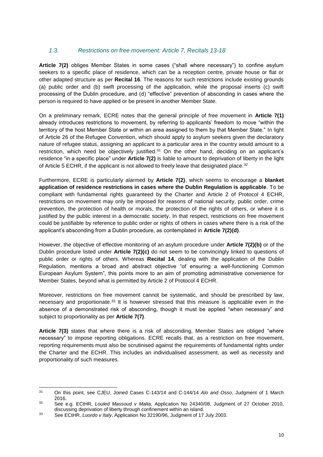#### <span id="page-10-0"></span>*1.3. Restrictions on free movement: Article 7, Recitals 13-18*

**Article 7(2)** obliges Member States in some cases ("shall where necessary") to confine asylum seekers to a specific place of residence, which can be a reception centre, private house or flat or other adapted structure as per **Recital 16**. The reasons for such restrictions include existing grounds (a) public order and (b) swift processing of the application, while the proposal inserts (c) swift processing of the Dublin procedure, and (d) "effective" prevention of absconding in cases where the person is required to have applied or be present in another Member State.

On a preliminary remark, ECRE notes that the general principle of free movement in **Article 7(1)** already introduces restrictions to movement, by referring to applicants' freedom to move "within the territory of the host Member State or within an area assigned to them by that Member State." In light of Article 26 of the Refugee Convention, which should apply to asylum seekers given the declaratory nature of refugee status, assigning an applicant to a particular area in the country would amount to a restriction, which need be objectively justified.<sup>31</sup> On the other hand, deciding on an applicant's residence "in a specific place" under **Article 7(2)** is liable to amount to deprivation of liberty in the light of Article 5 ECHR, if the applicant is not allowed to freely leave that designated place.<sup>32</sup>

Furthermore, ECRE is particularly alarmed by **Article 7(2)**, which seems to encourage a **blanket application of residence restrictions in cases where the Dublin Regulation is applicable**. To be compliant with fundamental rights guaranteed by the Charter and Article 2 of Protocol 4 ECHR, restrictions on movement may only be imposed for reasons of national security, public order, crime prevention, the protection of health or morals, the protection of the rights of others, or where it is justified by the public interest in a democratic society. In that respect, restrictions on free movement could be justifiable by reference to public order or rights of others in cases where there is a risk of the applicant's absconding from a Dublin procedure, as contemplated in **Article 7(2)(d)**.

However, the objective of effective monitoring of an asylum procedure under **Article 7(2)(b)** or of the Dublin procedure listed under **Article 7(2)(c)** do not seem to be convincingly linked to questions of public order or rights of others. Whereas **Recital 14**, dealing with the application of the Dublin Regulation, mentions a broad and abstract objective "of ensuring a well-functioning Common European Asylum System", this points more to an aim of promoting administrative convenience for Member States, beyond what is permitted by Article 2 of Protocol 4 ECHR.

Moreover, restrictions on free movement cannot be systematic, and should be prescribed by law, necessary and proportionate. <sup>33</sup> It is however stressed that this measure is applicable even in the absence of a demonstrated risk of absconding, though it must be applied "when necessary" and subject to proportionality as per **Article 7(7)**.

**Article 7(3)** states that where there is a risk of absconding, Member States are obliged "where necessary" to impose reporting obligations. ECRE recalls that, as a restriction on free movement, reporting requirements must also be scrutinised against the requirements of fundamental rights under the Charter and the ECHR. This includes an individualised assessment, as well as necessity and proportionality of such measures.

 $31$ <sup>31</sup> On this point, see CJEU, Joined Cases C-143/14 and C-144/14 *Alo and Osso*, Judgment of 1 March 2016.

<sup>32</sup> See e.g. ECtHR, *Louled Massoud v Malta*, Application No 24340/08, Judgment of 27 October 2010, discussing deprivation of liberty through confinement within an island.

<sup>33</sup> See ECtHR, *Luordo v Italy*, Application No 32190/96, Judgment of 17 July 2003.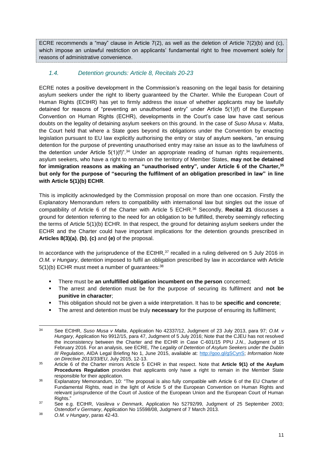ECRE recommends a "may" clause in Article 7(2), as well as the deletion of Article 7(2)(b) and (c), which impose an unlawful restriction on applicants' fundamental right to free movement solely for reasons of administrative convenience.

# <span id="page-11-0"></span>*1.4. Detention grounds: Article 8, Recitals 20-23*

ECRE notes a positive development in the Commission's reasoning on the legal basis for detaining asylum seekers under the right to liberty guaranteed by the Charter. While the European Court of Human Rights (ECtHR) has yet to firmly address the issue of whether applicants may be lawfully detained for reasons of "preventing an unauthorised entry" under Article 5(1)(f) of the European Convention on Human Rights (ECHR), developments in the Court's case law have cast serious doubts on the legality of detaining asylum seekers on this ground. In the case of *Suso Musa v. Malta*, the Court held that where a State goes beyond its obligations under the Convention by enacting legislation pursuant to EU law explicitly authorising the entry or stay of asylum seekers, "an ensuing detention for the purpose of preventing unauthorised entry may raise an issue as to the lawfulness of the detention under Article  $5(1)(f)^{7,34}$  Under an appropriate reading of human rights requirements, asylum seekers, who have a right to remain on the territory of Member States, **may not be detained for immigration reasons as making an "unauthorised entry", under Article 6 of the Charter,<sup>35</sup> but only for the purpose of "securing the fulfilment of an obligation prescribed in law" in line with Article 5(1)(b) ECHR**.

This is implicitly acknowledged by the Commission proposal on more than one occasion. Firstly the Explanatory Memorandum refers to compatibility with international law but singles out the issue of compatibility of Article 6 of the Charter with Article 5 ECHR.<sup>36</sup> Secondly, **Recital 21** discusses a ground for detention referring to the need for an obligation to be fulfilled, thereby seemingly reflecting the terms of Article 5(1)(b) ECHR. In that respect, the ground for detaining asylum seekers under the ECHR and the Charter could have important implications for the detention grounds prescribed in **Articles 8(3)(a)**, **(b)**, **(c)** and **(e)** of the proposal.

In accordance with the jurisprudence of the ECtHR, $37$  recalled in a ruling delivered on 5 July 2016 in *O.M. v Hungary*, detention imposed to fulfil an obligation prescribed by law in accordance with Article  $5(1)(b)$  ECHR must meet a number of quarantees:  $38$ 

- There must be **an unfulfilled obligation incumbent on the person** concerned;
- The arrest and detention must be for the purpose of securing its fulfilment and **not be punitive in character**;
- This obligation should not be given a wide interpretation. It has to be **specific and concrete**;
- The arrest and detention must be truly **necessary** for the purpose of ensuring its fulfilment;

 $34$ <sup>34</sup> See ECtHR, *Suso Musa v Malta*, Application No 42337/12, Judgment of 23 July 2013, para 97; *O.M. v Hungary*, Application No 9912/15, para 47, Judgment of 5 July 2016; Note that the CJEU has not resolved the inconsistency between the Charter and the ECHR in Case C-601/15 PPU *J.N.*, Judgment of 15 February 2016*.* For an analysis, see ECRE, *The Legality of Detention of Asylum Seekers under the Dublin III Regulation*, AIDA Legal Briefing No 1, June 2015, available at: [http://goo.gl/gSCynS;](http://goo.gl/gSCynS) *Information Note on Directive 2013/33/EU*, July 2015, 12-13.

<sup>35</sup> Article 6 of the Charter mirrors Article 5 ECHR in that respect. Note that **Article 9(1) of the Asylum Procedures Regulation** provides that applicants only have a right to remain in the Member State responsible for their application.

<sup>&</sup>lt;sup>36</sup> Explanatory Memorandum, 10: "The proposal is also fully compatible with Article 6 of the EU Charter of Fundamental Rights, read in the light of Article 5 of the European Convention on Human Rights and relevant jurisprudence of the Court of Justice of the European Union and the European Court of Human Rights."

<sup>37</sup> See e.g. ECtHR, *Vasileva v Denmark*, Application No 52792/99, Judgment of 25 September 2003; *Ostendorf v Germany*, Application No 15598/08, Judgment of 7 March 2013.

<sup>38</sup> *O.M. v Hungary*, paras 42-43.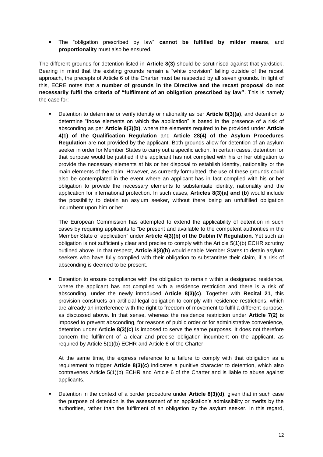The "obligation prescribed by law" **cannot be fulfilled by milder means**, and **proportionality** must also be ensured.

The different grounds for detention listed in **Article 8(3)** should be scrutinised against that yardstick. Bearing in mind that the existing grounds remain a "white provision" falling outside of the recast approach, the precepts of Article 6 of the Charter must be respected by all seven grounds. In light of this, ECRE notes that a **number of grounds in the Directive and the recast proposal do not necessarily fulfil the criteria of "fulfilment of an obligation prescribed by law"**. This is namely the case for:

 Detention to determine or verify identity or nationality as per **Article 8(3)(a)**, and detention to determine "those elements on which the application" is based in the presence of a risk of absconding as per **Article 8(3)(b)**, where the elements required to be provided under **Article 4(1) of the Qualification Regulation** and **Article 28(4) of the Asylum Procedures Regulation** are not provided by the applicant. Both grounds allow for detention of an asylum seeker in order for Member States to carry out a specific action. In certain cases, detention for that purpose would be justified if the applicant has not complied with his or her obligation to provide the necessary elements at his or her disposal to establish identity, nationality or the main elements of the claim. However, as currently formulated, the use of these grounds could also be contemplated in the event where an applicant has in fact complied with his or her obligation to provide the necessary elements to substantiate identity, nationality and the application for international protection. In such cases, **Articles 8(3)(a) and (b)** would include the possibility to detain an asylum seeker, without there being an unfulfilled obligation incumbent upon him or her.

The European Commission has attempted to extend the applicability of detention in such cases by requiring applicants to "be present and available to the competent authorities in the Member State of application" under **Article 4(3)(b) of the Dublin IV Regulation**. Yet such an obligation is not sufficiently clear and precise to comply with the Article 5(1)(b) ECHR scrutiny outlined above. In that respect, **Article 8(3)(b)** would enable Member States to detain asylum seekers who have fully complied with their obligation to substantiate their claim, if a risk of absconding is deemed to be present.

 Detention to ensure compliance with the obligation to remain within a designated residence, where the applicant has not complied with a residence restriction and there is a risk of absconding, under the newly introduced **Article 8(3)(c)**. Together with **Recital 21**, this provision constructs an artificial legal obligation to comply with residence restrictions, which are already an interference with the right to freedom of movement to fulfil a different purpose, as discussed above. In that sense, whereas the residence restriction under **Article 7(2)** is imposed to prevent absconding, for reasons of public order or for administrative convenience, detention under **Article 8(3)(c)** is imposed to serve the same purposes. It does not therefore concern the fulfilment of a clear and precise obligation incumbent on the applicant, as required by Article 5(1)(b) ECHR and Article 6 of the Charter.

At the same time, the express reference to a failure to comply with that obligation as a requirement to trigger **Article 8(3)(c)** indicates a punitive character to detention, which also contravenes Article 5(1)(b) ECHR and Article 6 of the Charter and is liable to abuse against applicants.

 Detention in the context of a border procedure under **Article 8(3)(d)**, given that in such case the purpose of detention is the assessment of an application's admissibility or merits by the authorities, rather than the fulfilment of an obligation by the asylum seeker. In this regard,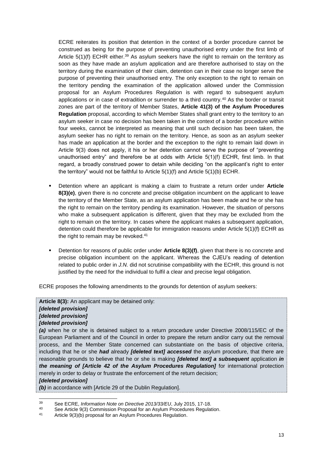ECRE reiterates its position that detention in the context of a border procedure cannot be construed as being for the purpose of preventing unauthorised entry under the first limb of Article  $5(1)(f)$  ECHR either.<sup>39</sup> As asylum seekers have the right to remain on the territory as soon as they have made an asylum application and are therefore authorised to stay on the territory during the examination of their claim, detention can in their case no longer serve the purpose of preventing their unauthorised entry. The only exception to the right to remain on the territory pending the examination of the application allowed under the Commission proposal for an Asylum Procedures Regulation is with regard to subsequent asylum applications or in case of extradition or surrender to a third country.<sup>40</sup> As the border or transit zones are part of the territory of Member States, **Article 41(3) of the Asylum Procedures Regulation** proposal, according to which Member States shall grant entry to the territory to an asylum seeker in case no decision has been taken in the context of a border procedure within four weeks, cannot be interpreted as meaning that until such decision has been taken, the asylum seeker has no right to remain on the territory. Hence, as soon as an asylum seeker has made an application at the border and the exception to the right to remain laid down in Article 9(3) does not apply, it his or her detention cannot serve the purpose of "preventing unauthorised entry" and therefore be at odds with Article 5(1)(f) ECHR, first limb. In that regard, a broadly construed power to detain while deciding "on the applicant's right to enter the territory" would not be faithful to Article 5(1)(f) and Article 5(1)(b) ECHR.

- Detention where an applicant is making a claim to frustrate a return order under **Article 8(3)(e)**, given there is no concrete and precise obligation incumbent on the applicant to leave the territory of the Member State, as an asylum application has been made and he or she has the right to remain on the territory pending its examination. However, the situation of persons who make a subsequent application is different, given that they may be excluded from the right to remain on the territory. In cases where the applicant makes a subsequent application, detention could therefore be applicable for immigration reasons under Article 5(1)(f) ECHR as the right to remain may be revoked. 41
- Detention for reasons of public order under **Article 8(3)(f)**, given that there is no concrete and precise obligation incumbent on the applicant. Whereas the CJEU's reading of detention related to public order in *J.N.* did not scrutinise compatibility with the ECHR, this ground is not justified by the need for the individual to fulfil a clear and precise legal obligation.

ECRE proposes the following amendments to the grounds for detention of asylum seekers:

#### **Article 8(3):** An applicant may be detained only:

#### *[deleted provision] [deleted provision] [deleted provision]*

*(a)* when he or she is detained subject to a return procedure under Directive 2008/115/EC of the European Parliament and of the Council in order to prepare the return and/or carry out the removal process, and the Member State concerned can substantiate on the basis of objective criteria, including that he or she *had* already *[deleted text] accessed* the asylum procedure, that there are reasonable grounds to believe that he or she is making *[deleted text] a subsequent* application *in the meaning of [Article 42 of the Asylum Procedures Regulation]* for international protection merely in order to delay or frustrate the enforcement of the return decision;

#### *[deleted provision]*

1

*(b)* in accordance with [Article 29 of the Dublin Regulation].

<sup>39</sup> See ECRE, *Information Note on Directive 2013/33/EU*, July 2015, 17-18.

<sup>40</sup> See Article 9(3) Commission Proposal for an Asylum Procedures Regulation.<br>41 Article 9(3)(b) proposal for an Asylum Procedures Regulation.

Article 9(3)(b) proposal for an Asylum Procedures Regulation.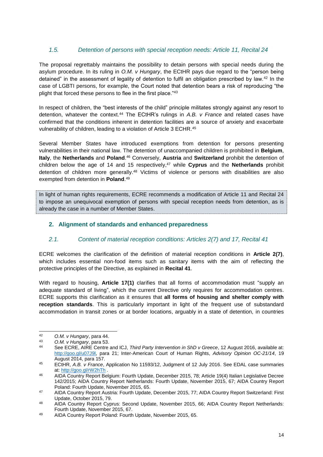## <span id="page-14-0"></span>*1.5. Detention of persons with special reception needs: Article 11, Recital 24*

The proposal regrettably maintains the possibility to detain persons with special needs during the asylum procedure. In its ruling in *O.M. v Hungary*, the ECtHR pays due regard to the "person being detained" in the assessment of legality of detention to fulfil an obligation prescribed by law.<sup>42</sup> In the case of LGBTI persons, for example, the Court noted that detention bears a risk of reproducing "the plight that forced these persons to flee in the first place."<sup>43</sup>

In respect of children, the "best interests of the child" principle militates strongly against any resort to detention, whatever the context.<sup>44</sup> The ECtHR's rulings in *A.B. v France* and related cases have confirmed that the conditions inherent in detention facilities are a source of anxiety and exacerbate vulnerability of children, leading to a violation of Article 3 ECHR.<sup>45</sup>

Several Member States have introduced exemptions from detention for persons presenting vulnerabilities in their national law. The detention of unaccompanied children is prohibited in **Belgium**, **Italy**, the **Netherlands** and **Poland**. <sup>46</sup> Conversely, **Austria** and **Switzerland** prohibit the detention of children below the age of 14 and 15 respectively, <sup>47</sup> while **Cyprus** and the **Netherlands** prohibit detention of children more generally.<sup>48</sup> Victims of violence or persons with disabilities are also exempted from detention in **Poland**. 49

In light of human rights requirements, ECRE recommends a modification of Article 11 and Recital 24 to impose an unequivocal exemption of persons with special reception needs from detention, as is already the case in a number of Member States.

#### <span id="page-14-1"></span>**2. Alignment of standards and enhanced preparedness**

#### <span id="page-14-2"></span>*2.1. Content of material reception conditions: Articles 2(7) and 17, Recital 41*

ECRE welcomes the clarification of the definition of material reception conditions in **Article 2(7)**, which includes essential non-food items such as sanitary items with the aim of reflecting the protective principles of the Directive, as explained in **Recital 41**.

With regard to housing, **Article 17(1)** clarifies that all forms of accommodation must "supply an adequate standard of living", which the current Directive only requires for accommodation centres. ECRE supports this clarification as it ensures that **all forms of housing and shelter comply with reception standards**. This is particularly important in light of the frequent use of substandard accommodation in transit zones or at border locations, arguably in a state of detention, in countries

 $42$ <sup>42</sup> *O.M. v Hungary*, para 44.

<sup>43</sup> *O.M. v Hungary*, para 53.

See ECRE, AIRE Centre and ICJ, *Third Party Intervention in ShD v Greece*, 12 August 2016, available at: [http://goo.gl/u07J9l,](http://goo.gl/u07J9l) para 21; Inter-American Court of Human Rights, *Advisory Opinion OC-21/14*, 19 August 2014, para 157.

<sup>45</sup> ECtHR, *A.B. v France*, Application No 11593/12, Judgment of 12 July 2016. See EDAL case summaries at:<http://goo.gl/rW2hTh> .

<sup>46</sup> AIDA Country Report Belgium: Fourth Update, December 2015, 78; Article 19(4) Italian Legislative Decree 142/2015; AIDA Country Report Netherlands: Fourth Update, November 2015, 67; AIDA Country Report Poland: Fourth Update, November 2015, 65.

<sup>47</sup> AIDA Country Report Austria: Fourth Update, December 2015, 77; AIDA Country Report Switzerland: First Update, October 2015, 79.

<sup>48</sup> AIDA Country Report Cyprus: Second Update, November 2015, 66; AIDA Country Report Netherlands: Fourth Update, November 2015, 67.

<sup>49</sup> AIDA Country Report Poland: Fourth Update, November 2015, 65.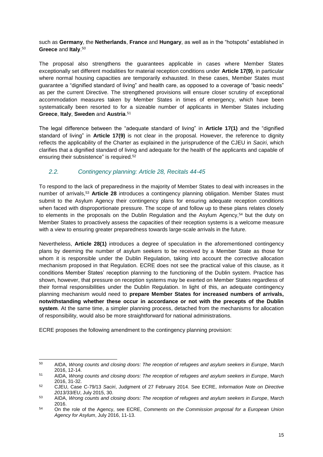such as **Germany**, the **Netherlands**, **France** and **Hungary**, as well as in the "hotspots" established in **Greece** and **Italy**. 50

The proposal also strengthens the guarantees applicable in cases where Member States exceptionally set different modalities for material reception conditions under **Article 17(9)**, in particular where normal housing capacities are temporarily exhausted. In these cases, Member States must guarantee a "dignified standard of living" and health care, as opposed to a coverage of "basic needs" as per the current Directive. The strengthened provisions will ensure closer scrutiny of exceptional accommodation measures taken by Member States in times of emergency, which have been systematically been resorted to for a sizeable number of applicants in Member States including **Greece**, **Italy**, **Sweden** and **Austria**. 51

The legal difference between the "adequate standard of living" in **Article 17(1)** and the "dignified standard of living" in **Article 17(9)** is not clear in the proposal. However, the reference to dignity reflects the applicability of the Charter as explained in the jurisprudence of the CJEU in *Saciri*, which clarifies that a dignified standard of living and adequate for the health of the applicants and capable of ensuring their subsistence" is required.<sup>52</sup>

### <span id="page-15-0"></span>*2.2. Contingency planning: Article 28, Recitals 44-45*

To respond to the lack of preparedness in the majority of Member States to deal with increases in the number of arrivals,<sup>53</sup> **Article 28** introduces a contingency planning obligation. Member States must submit to the Asylum Agency their contingency plans for ensuring adequate reception conditions when faced with disproportionate pressure. The scope of and follow up to these plans relates closely to elements in the proposals on the Dublin Regulation and the Asylum Agency,<sup>54</sup> but the duty on Member States to proactively assess the capacities of their reception systems is a welcome measure with a view to ensuring greater preparedness towards large-scale arrivals in the future.

Nevertheless, **Article 28(1)** introduces a degree of speculation in the aforementioned contingency plans by deeming the number of asylum seekers to be received by a Member State as those for whom it is responsible under the Dublin Regulation, taking into account the corrective allocation mechanism proposed in that Regulation. ECRE does not see the practical value of this clause, as it conditions Member States' reception planning to the functioning of the Dublin system. Practice has shown, however, that pressure on reception systems may be exerted on Member States regardless of their formal responsibilities under the Dublin Regulation. In light of this, an adequate contingency planning mechanism would need to **prepare Member States for increased numbers of arrivals, notwithstanding whether these occur in accordance or not with the precepts of the Dublin system**. At the same time, a simpler planning process, detached from the mechanisms for allocation of responsibility, would also be more straightforward for national administrations.

ECRE proposes the following amendment to the contingency planning provision:

<sup>1</sup> <sup>50</sup> AIDA, *Wrong counts and closing doors: The reception of refugees and asylum seekers in Europe*, March 2016, 12-14.

<sup>51</sup> AIDA, *Wrong counts and closing doors: The reception of refugees and asylum seekers in Europe*, March 2016, 31-32.

<sup>52</sup> CJEU, Case C-79/13 *Saciri*, Judgment of 27 February 2014. See ECRE, *Information Note on Directive 2013/33/EU*, July 2015, 30.

<sup>53</sup> AIDA, *Wrong counts and closing doors: The reception of refugees and asylum seekers in Europe*, March 2016.

<sup>54</sup> On the role of the Agency, see ECRE, *Comments on the Commission proposal for a European Union Agency for Asylum*, July 2016, 11-13.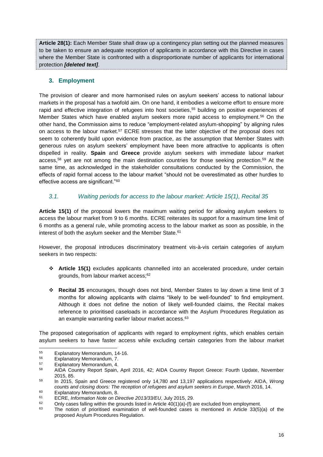**Article 28(1):** Each Member State shall draw up a contingency plan setting out the planned measures to be taken to ensure an adequate reception of applicants in accordance with this Directive in cases where the Member State is confronted with a disproportionate number of applicants for international protection *[deleted text]*.

## <span id="page-16-0"></span>**3. Employment**

The provision of clearer and more harmonised rules on asylum seekers' access to national labour markets in the proposal has a twofold aim. On one hand, it embodies a welcome effort to ensure more rapid and effective integration of refugees into host societies, <sup>55</sup> building on positive experiences of Member States which have enabled asylum seekers more rapid access to employment.<sup>56</sup> On the other hand, the Commission aims to reduce "employment-related asylum-shopping" by aligning rules on access to the labour market.<sup>57</sup> ECRE stresses that the latter objective of the proposal does not seem to coherently build upon evidence from practice, as the assumption that Member States with generous rules on asylum seekers' employment have been more attractive to applicants is often dispelled in reality. **Spain** and **Greece** provide asylum seekers with immediate labour market access,<sup>58</sup> yet are not among the main destination countries for those seeking protection.<sup>59</sup> At the same time, as acknowledged in the stakeholder consultations conducted by the Commission, the effects of rapid formal access to the labour market "should not be overestimated as other hurdles to effective access are significant."<sup>60</sup>

## <span id="page-16-1"></span>*3.1. Waiting periods for access to the labour market: Article 15(1), Recital 35*

**Article 15(1)** of the proposal lowers the maximum waiting period for allowing asylum seekers to access the labour market from 9 to 6 months. ECRE reiterates its support for a maximum time limit of 6 months as a general rule, while promoting access to the labour market as soon as possible, in the interest of both the asylum seeker and the Member State. 61

However, the proposal introduces discriminatory treatment vis-à-vis certain categories of asylum seekers in two respects:

- **Article 15(1)** excludes applicants channelled into an accelerated procedure, under certain grounds, from labour market access;<sup>62</sup>
- **Recital 35** encourages, though does not bind, Member States to lay down a time limit of 3 months for allowing applicants with claims "likely to be well-founded" to find employment. Although it does not define the notion of likely well-founded claims, the Recital makes reference to prioritised caseloads in accordance with the Asylum Procedures Regulation as an example warranting earlier labour market access.<sup>63</sup>

The proposed categorisation of applicants with regard to employment rights, which enables certain asylum seekers to have faster access while excluding certain categories from the labour market

<sup>55</sup>  $^{55}$  Explanatory Memorandum, 14-16.

<sup>&</sup>lt;sup>56</sup> Explanatory Memorandum, 7.<br>57 Evelopatory Memorandum, 4.

<sup>&</sup>lt;sup>57</sup> Explanatory Memorandum, 4.<br><sup>58</sup> AIDA Country Benett Spoin

<sup>58</sup> AIDA Country Report Spain, April 2016, 42; AIDA Country Report Greece: Fourth Update, November 2015, 85.

<sup>59</sup> In 2015, Spain and Greece registered only 14,780 and 13,197 applications respectively: AIDA, *Wrong counts and closing doors: The reception of refugees and asylum seekers in Europe*, March 2016, 14.

 $^{60}$  Explanatory Memorandum, 8.

<sup>61</sup> ECRE, *Information Note on Directive 2013/33/EU*, July 2015, 29.

<sup>&</sup>lt;sup>62</sup> Only cases falling within the grounds listed in Article 40(1)(a)-(f) are excluded from employment.

The notion of prioritised examination of well-founded cases is mentioned in Article 33(5)(a) of the proposed Asylum Procedures Regulation.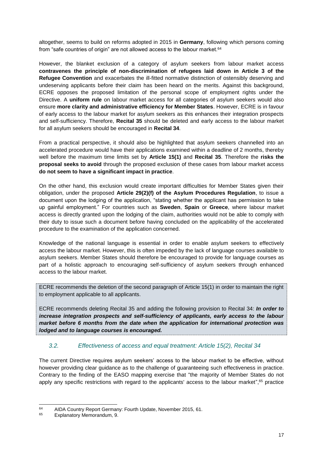altogether, seems to build on reforms adopted in 2015 in **Germany**, following which persons coming from "safe countries of origin" are not allowed access to the labour market.<sup>64</sup>

However, the blanket exclusion of a category of asylum seekers from labour market access **contravenes the principle of non-discrimination of refugees laid down in Article 3 of the Refugee Convention** and exacerbates the ill-fitted normative distinction of ostensibly deserving and undeserving applicants before their claim has been heard on the merits. Against this background, ECRE opposes the proposed limitation of the personal scope of employment rights under the Directive. A **uniform rule** on labour market access for all categories of asylum seekers would also ensure **more clarity and administrative efficiency for Member States**. However, ECRE is in favour of early access to the labour market for asylum seekers as this enhances their integration prospects and self-sufficiency. Therefore, **Recital 35** should be deleted and early access to the labour market for all asylum seekers should be encouraged in **Recital 34**.

From a practical perspective, it should also be highlighted that asylum seekers channelled into an accelerated procedure would have their applications examined within a deadline of 2 months, thereby well before the maximum time limits set by **Article 15(1)** and **Recital 35**. Therefore the **risks the proposal seeks to avoid** through the proposed exclusion of these cases from labour market access **do not seem to have a significant impact in practice**.

On the other hand, this exclusion would create important difficulties for Member States given their obligation, under the proposed **Article 29(2)(f) of the Asylum Procedures Regulation**, to issue a document upon the lodging of the application, "stating whether the applicant has permission to take up gainful employment." For countries such as **Sweden**, **Spain** or **Greece**, where labour market access is directly granted upon the lodging of the claim, authorities would not be able to comply with their duty to issue such a document before having concluded on the applicability of the accelerated procedure to the examination of the application concerned.

Knowledge of the national language is essential in order to enable asylum seekers to effectively access the labour market. However, this is often impeded by the lack of language courses available to asylum seekers. Member States should therefore be encouraged to provide for language courses as part of a holistic approach to encouraging self-sufficiency of asylum seekers through enhanced access to the labour market.

ECRE recommends the deletion of the second paragraph of Article 15(1) in order to maintain the right to employment applicable to all applicants.

ECRE recommends deleting Recital 35 and adding the following provision to Recital 34: *In order to increase integration prospects and self-sufficiency of applicants, early access to the labour market before 6 months from the date when the application for international protection was lodged and to language courses is encouraged.*

## <span id="page-17-0"></span>*3.2. Effectiveness of access and equal treatment: Article 15(2), Recital 34*

The current Directive requires asylum seekers' access to the labour market to be effective, without however providing clear guidance as to the challenge of guaranteeing such effectiveness in practice. Contrary to the finding of the EASO mapping exercise that "the majority of Member States do not apply any specific restrictions with regard to the applicants' access to the labour market",<sup>65</sup> practice

<sup>64</sup> <sup>64</sup> AIDA Country Report Germany: Fourth Update, November 2015, 61.<br><sup>65</sup> Explanatory Momorandum 0.

Explanatory Memorandum, 9.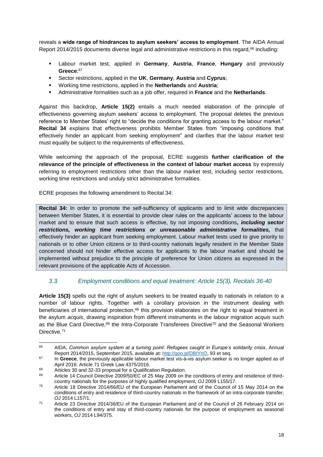reveals a **wide range of hindrances to asylum seekers' access to employment**. The AIDA Annual Report 2014/2015 documents diverse legal and administrative restrictions in this regard,<sup>66</sup> including:

- Labour market test, applied in **Germany**, **Austria**, **France**, **Hungary** and previously **Greece**; 67
- Sector restrictions, applied in the **UK**, **Germany**, **Austria** and **Cyprus**;
- Working time restrictions, applied in the **Netherlands** and **Austria**;
- Administrative formalities such as a job offer, required in **France** and the **Netherlands**.

Against this backdrop, **Article 15(2)** entails a much needed elaboration of the principle of effectiveness governing asylum seekers' access to employment. The proposal deletes the previous reference to Member States' right to "decide the conditions for granting access to the labour market." **Recital 34** explains that effectiveness prohibits Member States from "imposing conditions that effectively hinder an applicant from seeking employment" and clarifies that the labour market test must equally be subject to the requirements of effectiveness.

While welcoming the approach of the proposal, ECRE suggests **further clarification of the relevance of the principle of effectiveness in the context of labour market access** by expressly referring to employment restrictions other than the labour market test, including sector restrictions, working time restrictions and unduly strict administrative formalities.

ECRE proposes the following amendment to Recital 34:

**Recital 34:** In order to promote the self-sufficiency of applicants and to limit wide discrepancies between Member States, it is essential to provide clear rules on the applicants' access to the labour market and to ensure that such access is effective, by not imposing conditions*, including sector restrictions, working time restrictions or unreasonable administrative formalities,* that effectively hinder an applicant from seeking employment. Labour market tests used to give priority to nationals or to other Union citizens or to third-country nationals legally resident in the Member State concerned should not hinder effective access for applicants to the labour market and should be implemented without prejudice to the principle of preference for Union citizens as expressed in the relevant provisions of the applicable Acts of Accession.

## <span id="page-18-0"></span>*3.3. Employment conditions and equal treatment: Article 15(3), Recitals 36-40*

**Article 15(3)** spells out the right of asylum seekers to be treated equally to nationals in relation to a number of labour rights. Together with a corollary provision in the instrument dealing with beneficiaries of international protection, <sup>68</sup> this provision elaborates on the right to equal treatment in the asylum *acquis*, drawing inspiration from different instruments in the labour migration *acquis* such as the Blue Card Directive,<sup>69</sup> the Intra-Corporate Transferees Directive<sup>70</sup> and the Seasonal Workers Directive.<sup>71</sup>

<sup>66</sup> <sup>66</sup> AIDA, *Common asylum system at a turning point: Refugees caught in Europe's solidarity crisis*, Annual Report 2014/2015, September 2015, available at: [http://goo.gl/DBIYnO,](http://goo.gl/DBIYnO) 93 et seq.

<sup>67</sup> In **Greece**, the previously applicable labour market test vis-à-vis asylum seeker is no longer applied as of April 2016: Article 71 Greek Law 4375/2016.

<sup>&</sup>lt;sup>68</sup> Articles 30 and 32-33 proposal for a Qualification Regulation.<br> $^{68}$  Article 14 Council Directive 2000/50/50 of 25 May 2000 on the

Article 14 Council Directive 2009/50/EC of 25 May 2009 on the conditions of entry and residence of thirdcountry nationals for the purposes of highly qualified employment, *OJ* 2009 L155/17.

<sup>70</sup> Article 18 Directive 2014/66/EU of the European Parliament and of the Council of 15 May 2014 on the conditions of entry and residence of third-country nationals in the framework of an intra-corporate transfer, *OJ* 2014 L157/1.

<sup>71</sup> Article 23 Directive 2014/36/EU of the European Parliament and of the Council of 26 February 2014 on the conditions of entry and stay of third-country nationals for the purpose of employment as seasonal workers, *OJ* 2014 L94/375.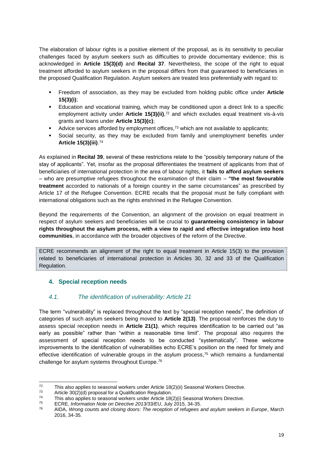The elaboration of labour rights is a positive element of the proposal, as is its sensitivity to peculiar challenges faced by asylum seekers such as difficulties to provide documentary evidence; this is acknowledged in **Article 15(3)(d)** and **Recital 37**. Nevertheless, the scope of the right to equal treatment afforded to asylum seekers in the proposal differs from that guaranteed to beneficiaries in the proposed Qualification Regulation. Asylum seekers are treated less preferentially with regard to:

- Freedom of association, as they may be excluded from holding public office under **Article 15(3)(i)**;
- Education and vocational training, which may be conditioned upon a direct link to a specific employment activity under **Article 15(3)(ii)**, <sup>72</sup> and which excludes equal treatment vis-à-vis grants and loans under **Article 15(3)(c)**;
- Advice services afforded by employment offices, $7<sup>3</sup>$  which are not available to applicants;
- Social security, as they may be excluded from family and unemployment benefits under **Article 15(3)(iii)**. 74

As explained in **Recital 39**, several of these restrictions relate to the "possibly temporary nature of the stay of applicants". Yet, insofar as the proposal differentiates the treatment of applicants from that of beneficiaries of international protection in the area of labour rights, it **fails to afford asylum seekers** – who are presumptive refugees throughout the examination of their claim – **"the most favourable treatment** accorded to nationals of a foreign country in the same circumstances" as prescribed by Article 17 of the Refugee Convention. ECRE recalls that the proposal must be fully compliant with international obligations such as the rights enshrined in the Refugee Convention.

Beyond the requirements of the Convention, an alignment of the provision on equal treatment in respect of asylum seekers and beneficiaries will be crucial to **guaranteeing consistency in labour rights throughout the asylum process, with a view to rapid and effective integration into host communities**, in accordance with the broader objectives of the reform of the Directive.

ECRE recommends an alignment of the right to equal treatment in Article 15(3) to the provision related to beneficiaries of international protection in Articles 30, 32 and 33 of the Qualification Regulation.

## <span id="page-19-0"></span>**4. Special reception needs**

## <span id="page-19-1"></span>*4.1. The identification of vulnerability: Article 21*

The term "vulnerability" is replaced throughout the text by "special reception needs", the definition of categories of such asylum seekers being moved to **Article 2(13)**. The proposal reinforces the duty to assess special reception needs in **Article 21(1)**, which requires identification to be carried out "as early as possible" rather than "within a reasonable time limit". The proposal also requires the assessment of special reception needs to be conducted "systematically". These welcome improvements to the identification of vulnerabilities echo ECRE's position on the need for timely and effective identification of vulnerable groups in the asylum process,<sup>75</sup> which remains a fundamental challenge for asylum systems throughout Europe.<sup>76</sup>

 $72$ 72 This also applies to seasonal workers under Article 18(2)(ii) Seasonal Workers Directive.

<sup>&</sup>lt;sup>73</sup> Article 30(2)(d) proposal for a Qualification Regulation.<br> $74$  This also applies to assessed werkers under Article 184

<sup>&</sup>lt;sup>74</sup> This also applies to seasonal workers under Article 18(2)(i) Seasonal Workers Directive.

<sup>75</sup> ECRE, *Information Note on Directive 2013/33/EU*, July 2015, 34-35.

<sup>76</sup> AIDA, *Wrong counts and closing doors: The reception of refugees and asylum seekers in Europe*, March 2016, 34-35.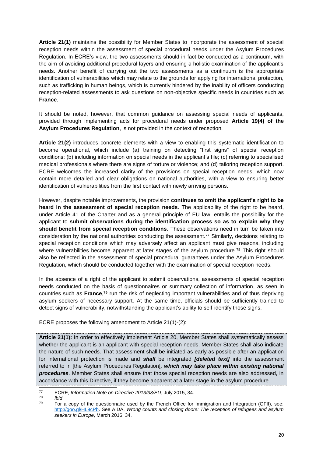**Article 21(1)** maintains the possibility for Member States to incorporate the assessment of special reception needs within the assessment of special procedural needs under the Asylum Procedures Regulation. In ECRE's view, the two assessments should in fact be conducted as a continuum, with the aim of avoiding additional procedural layers and ensuring a holistic examination of the applicant's needs. Another benefit of carrying out the two assessments as a continuum is the appropriate identification of vulnerabilities which may relate to the grounds for applying for international protection, such as trafficking in human beings, which is currently hindered by the inability of officers conducting reception-related assessments to ask questions on non-objective specific needs in countries such as **France**.

It should be noted, however, that common guidance on assessing special needs of applicants, provided through implementing acts for procedural needs under proposed **Article 19(4) of the Asylum Procedures Regulation**, is not provided in the context of reception.

**Article 21(2)** introduces concrete elements with a view to enabling this systematic identification to become operational, which include (a) training on detecting "first signs" of special reception conditions; (b) including information on special needs in the applicant's file; (c) referring to specialised medical professionals where there are signs of torture or violence; and (d) tailoring reception support. ECRE welcomes the increased clarity of the provisions on special reception needs, which now contain more detailed and clear obligations on national authorities, with a view to ensuring better identification of vulnerabilities from the first contact with newly arriving persons.

However, despite notable improvements, the provision **continues to omit the applicant's right to be heard in the assessment of special reception needs**. The applicability of the right to be heard, under Article 41 of the Charter and as a general principle of EU law, entails the possibility for the applicant to **submit observations during the identification process so as to explain why they should benefit from special reception conditions**. These observations need in turn be taken into consideration by the national authorities conducting the assessment.<sup> $77$ </sup> Similarly, decisions relating to special reception conditions which may adversely affect an applicant must give reasons, including where vulnerabilities become apparent at later stages of the asylum procedure.<sup>78</sup> This right should also be reflected in the assessment of special procedural guarantees under the Asylum Procedures Regulation, which should be conducted together with the examination of special reception needs.

In the absence of a right of the applicant to submit observations, assessments of special reception needs conducted on the basis of questionnaires or summary collection of information, as seen in countries such as **France**, <sup>79</sup> run the risk of neglecting important vulnerabilities and of thus depriving asylum seekers of necessary support. At the same time, officials should be sufficiently trained to detect signs of vulnerability, notwithstanding the applicant's ability to self-identify those signs.

ECRE proposes the following amendment to Article 21(1)-(2):

**Article 21(1):** In order to effectively implement Article 20, Member States shall systematically assess whether the applicant is an applicant with special reception needs. Member States shall also indicate the nature of such needs. That assessment shall be initiated as early as possible after an application for international protection is made and *shall* be integrated *[deleted text]* into the assessment referred to in [the Asylum Procedures Regulation]*, which may take place within existing national procedures*. Member States shall ensure that those special reception needs are also addressed, in accordance with this Directive, if they become apparent at a later stage in the asylum procedure.

 $77$ <sup>77</sup> ECRE, *Information Note on Directive 2013/33/EU*, July 2015, 34.

<sup>78</sup> *Ibid*.

For a copy of the questionnaire used by the French Office for Immigration and Integration (OFII), see: [http://goo.gl/HL9cPb.](http://goo.gl/HL9cPb) See AIDA, *Wrong counts and closing doors: The reception of refugees and asylum seekers in Europe*, March 2016, 34.